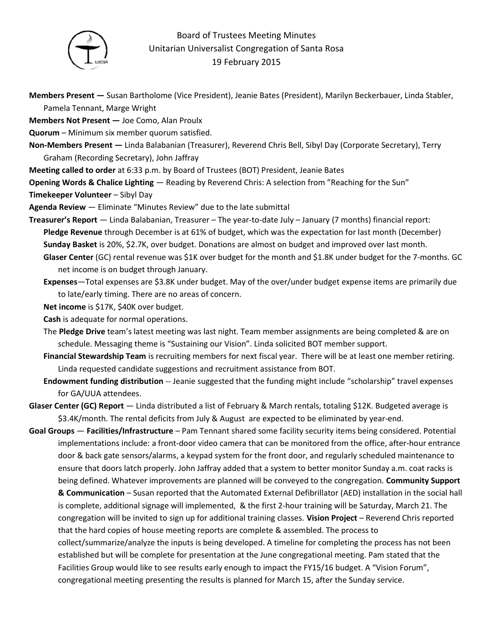

## Board of Trustees Meeting Minutes Unitarian Universalist Congregation of Santa Rosa 19 February 2015

**Members Present —** Susan Bartholome (Vice President), Jeanie Bates (President), Marilyn Beckerbauer, Linda Stabler, Pamela Tennant, Marge Wright

**Members Not Present —** Joe Como, Alan Proulx

**Quorum** – Minimum six member quorum satisfied.

- **Non-Members Present** Linda Balabanian (Treasurer), Reverend Chris Bell, Sibyl Day (Corporate Secretary), Terry Graham (Recording Secretary), John Jaffray
- **Meeting called to order** at 6:33 p.m. by Board of Trustees (BOT) President, Jeanie Bates
- **Opening Words & Chalice Lighting** Reading by Reverend Chris: A selection from "Reaching for the Sun"

**Timekeeper Volunteer** – Sibyl Day

- **Agenda Review** Eliminate "Minutes Review" due to the late submittal
- **Treasurer's Report** Linda Balabanian, Treasurer The year-to-date July January (7 months) financial report: **Pledge Revenue** through December is at 61% of budget, which was the expectation for last month (December) **Sunday Basket** is 20%, \$2.7K, over budget. Donations are almost on budget and improved over last month. **Glaser Center** (GC) rental revenue was \$1K over budget for the month and \$1.8K under budget for the 7-months. GC

net income is on budget through January.

**Expenses**—Total expenses are \$3.8K under budget. May of the over/under budget expense items are primarily due to late/early timing. There are no areas of concern.

**Net income** is \$17K, \$40K over budget.

**Cash** is adequate for normal operations.

- The **Pledge Drive** team's latest meeting was last night. Team member assignments are being completed & are on schedule. Messaging theme is "Sustaining our Vision". Linda solicited BOT member support.
- **Financial Stewardship Team** is recruiting members for next fiscal year. There will be at least one member retiring. Linda requested candidate suggestions and recruitment assistance from BOT.
- **Endowment funding distribution** -- Jeanie suggested that the funding might include "scholarship" travel expenses for GA/UUA attendees.
- **Glaser Center (GC) Report** Linda distributed a list of February & March rentals, totaling \$12K. Budgeted average is \$3.4K/month. The rental deficits from July & August are expected to be eliminated by year-end.

**Goal Groups** — **Facilities/Infrastructure** – Pam Tennant shared some facility security items being considered. Potential implementations include: a front-door video camera that can be monitored from the office, after-hour entrance door & back gate sensors/alarms, a keypad system for the front door, and regularly scheduled maintenance to ensure that doors latch properly. John Jaffray added that a system to better monitor Sunday a.m. coat racks is being defined. Whatever improvements are planned will be conveyed to the congregation. **Community Support** 

**& Communication** – Susan reported that the Automated External Defibrillator (AED) installation in the social hall is complete, additional signage will implemented, & the first 2-hour training will be Saturday, March 21. The congregation will be invited to sign up for additional training classes. **Vision Project** – Reverend Chris reported that the hard copies of house meeting reports are complete & assembled. The process to collect/summarize/analyze the inputs is being developed. A timeline for completing the process has not been established but will be complete for presentation at the June congregational meeting. Pam stated that the Facilities Group would like to see results early enough to impact the FY15/16 budget. A "Vision Forum",

congregational meeting presenting the results is planned for March 15, after the Sunday service.